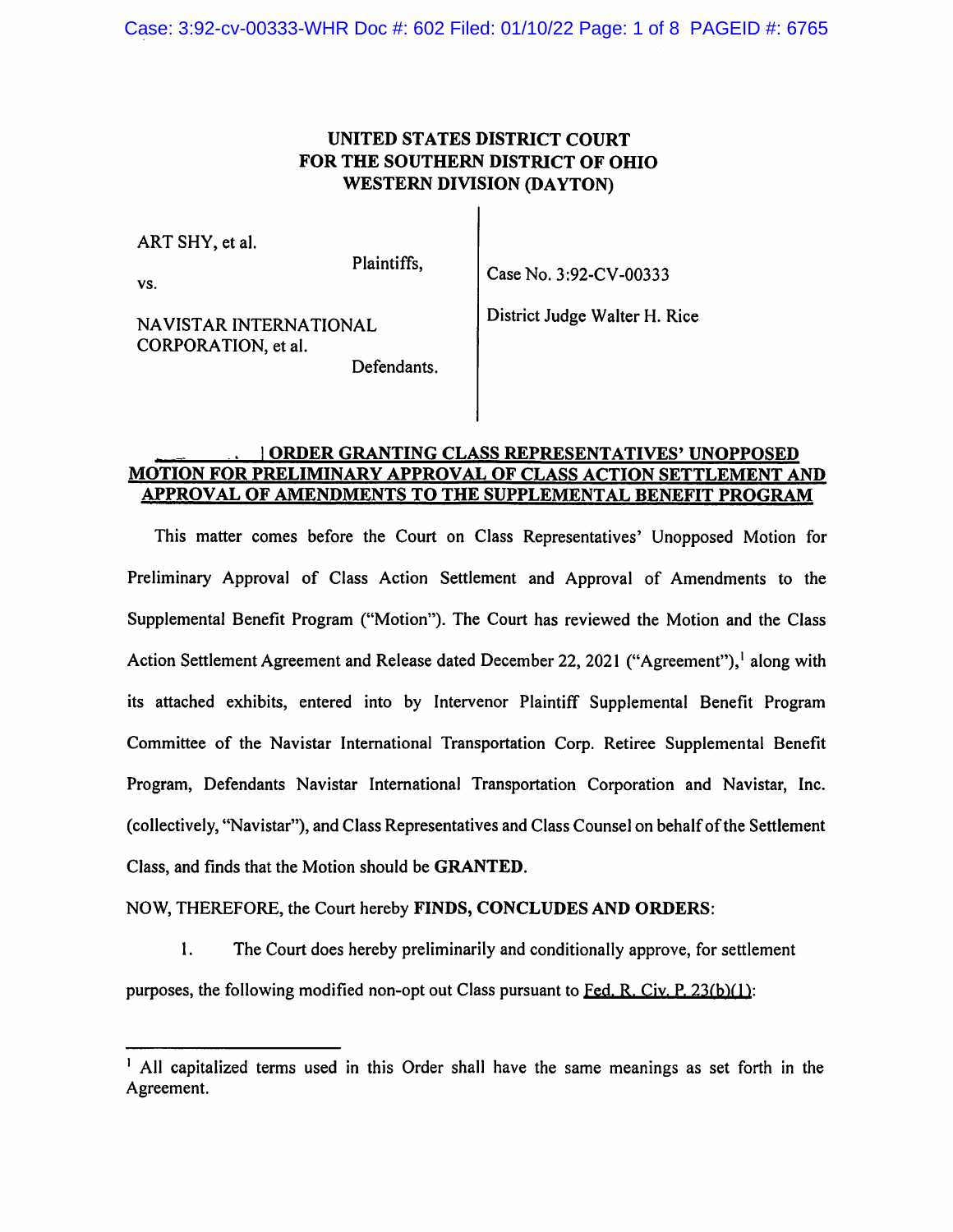Case: 3:92-cv-00333-WHR Doc #: 602 Filed: 01/10/22 Page: 1 of 8 PAGEID #: 6765

### UNITED STATES DISTRICT COURT FOR THE SOUTHERN DISTRICT OF OHIO WESTERN DIVISION (DAYTON)

ART SHY, et al.

Plaintiffs,

vs.

NAVISTAR INTERNATIONAL CORPORATION, et al.

Case No.3:92-CV-00333

District Judge Waiter H. Rice

Defendants.

#### | ORDER GRANTING CLASS REPRESENTATIVES' UNOPPOSED MOTION FOR PRELIMINARY APPROVAL OF CLASS ACTION SETTLEMENT AND APPROVAL OF AMENDMENTS TO THE SUPPLEMENTAL BENEFIT PROGRAM

This matter comes before the Court on Class Representatives' Unopposed Motion for Preliminary Approval of Class Action Settlement and Approval of Amendments to the Supplemental Benefit Program ("Motion"). The Court has reviewed the Motion and the Class Action Settlement Agreement and Release dated December 22, 2021 ("Agreement"), along with its attached exhibits, entered into by Intervenor Plaintiff Supplemental Benefit Program Committee of the Navistar International Transportation Corp. Retiree Supplemental Benefit Program, Defendants Navistar International Transportation Corporation and Navistar, Inc. (collectively, "Navistar"), and Class Representatives and Class Counsel on behalf of the Settlement Class, and finds that the Motion should be GRANTED.

#### NOW, THEREFORE, the Court hereby FINDS, CONCLUDES AND ORDERS:

1. The Court does hereby preliminarily and conditionally approve, for settlement purposes, the following modified non-opt out Class pursuant to Fed. R. Civ. P.  $23(b)(1)$ :

<sup>&</sup>lt;sup>1</sup> All capitalized terms used in this Order shall have the same meanings as set forth in the Agreement.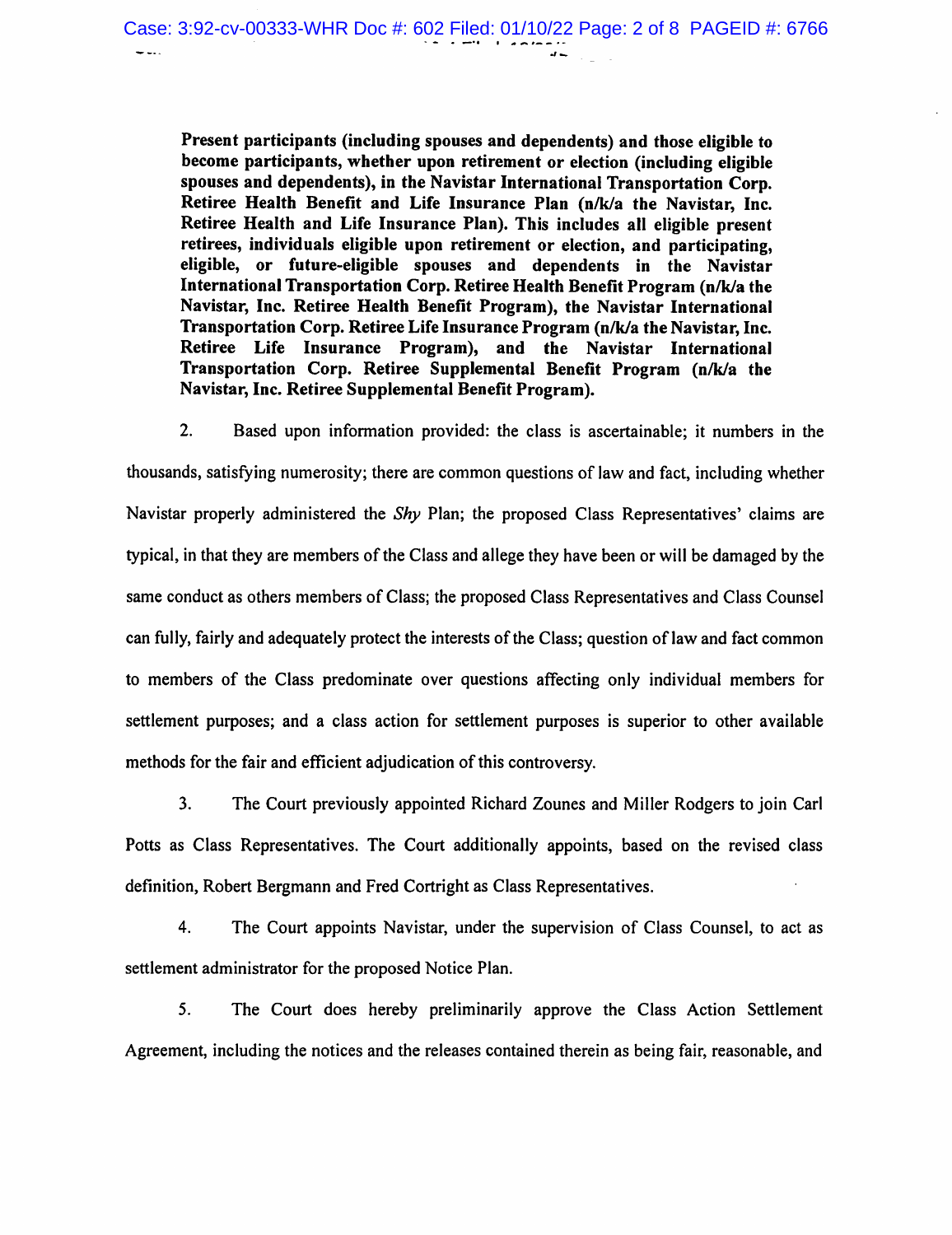Present participants (including spouses and dependents) and those eligible to become participants, whether upon retirement or election (including eligible spouses and dependents), in the Navistar International Transportation Corp. Retiree Health Benefit and Life Insurance Plan (n/k/a the Navistar, Inc. Retiree Health and Life Insurance Plan). This includes all eligible present retirees, individuals eligible upon retirement or election, and participating, eligible, or future-eligible spouses and dependents in the Navistar International Transportation Corp. Retiree Health Benefit Program (n/k/a the Navistar, Inc. Retiree Health Benefit Program), the Navistar International Transportation Corp. Retiree Life Insurance Program (n/k/a the Navistar, Inc. Retiree Life Insurance Program), and the Navistar International Transportation Corp. Retiree Supplemental Benefit Program (n/k/a the Navistar, Inc. Retiree Supplemental Benefit Program).

2. Based upon information provided: the class is ascertainable; it numbers in the thousands, satisfying numerosity; there are common questions of law and fact, including whether Navistar properly administered the Shy Plan; the proposed Class Representatives' claims are typical, in that they are members of the Class and allege they have been or will be damaged by the same conduct as others members of Class; the proposed Class Representatives and Class Counsel can fully, fairly and adequately protect the interests of the Class; question of law and fact common to members of the Class predominate over questions affecting only individual members for settlement purposes; and a class action for settlement purposes is superior to other available methods for the fair and efficient adjudication of this controversy.

3. The Court previously appointed Richard Zounes and Miller Rodgers to join Carl Potts as Class Representatives. The Court additionally appoints, based on the revised class definition, Robert Bergmann and Fred Cortright as Class Representatives.

4. The Court appoints Navistar, under the supervision of Class Counsel, to act as settlement administrator for the proposed Notice Plan.

5. The Court does hereby preliminarily approve the Class Action Settlement Agreement, including the notices and the releases contained therein as being fair, reasonable, and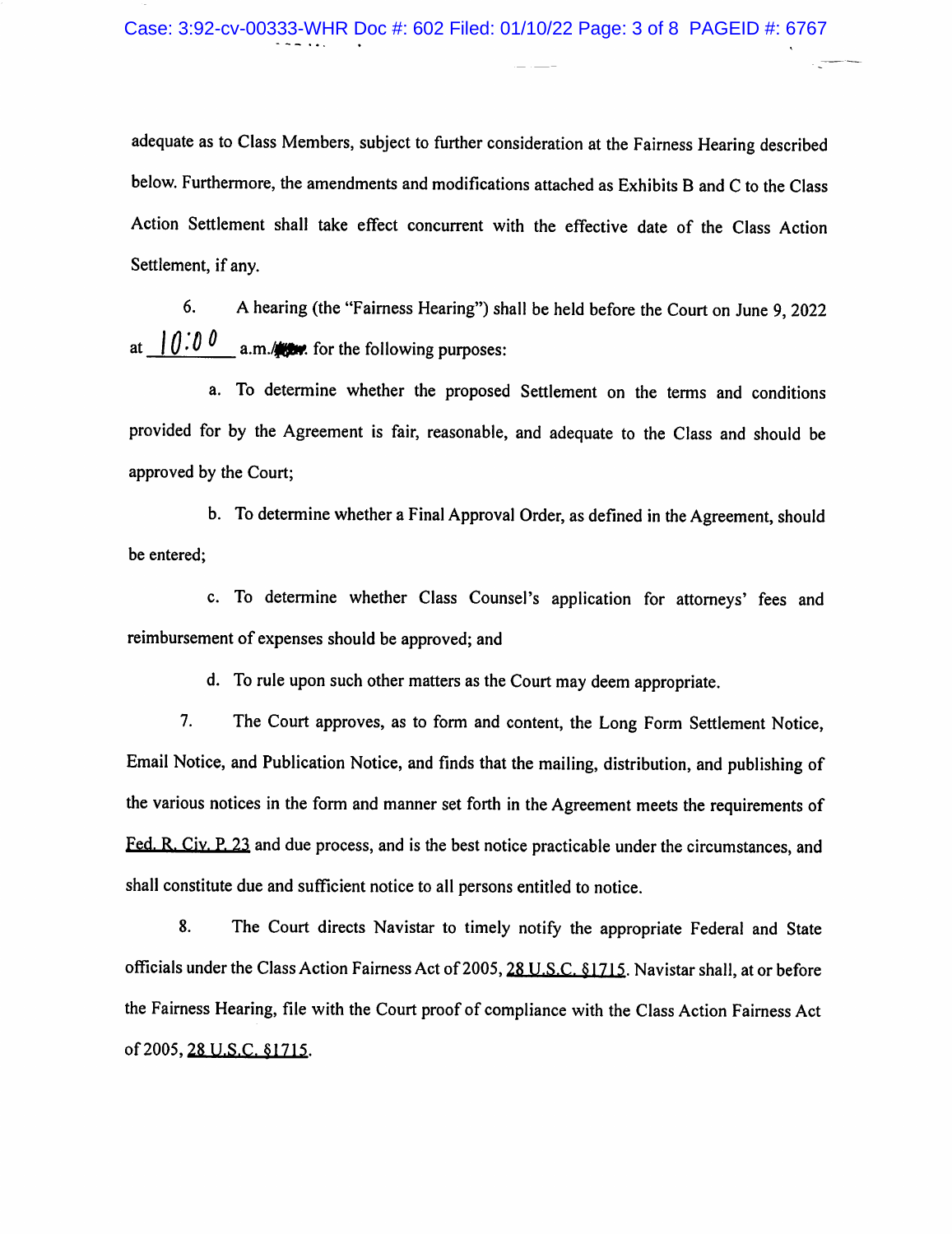adequate as to Class Members, subject to further consideration at the Fairness Hearing described below. Furthermore, the amendments and modifications attached as Exhibits B and C to the Class Action Settlement shall take effect concurrent with the effective date of the Class Action Settlement, if any.

6. A hearing (the "Fairness Hearing") shall be held before the Court on June 9, 2022 at  $10.0 \text{ g}$  a.m./**Here** for the following purposes:

a. To determine whether the proposed Settlement on the terms and conditions provided for by the Agreement is fair, reasonable, and adequate to the Class and should be approved by the Court;

b. To determine whether a Final Approval Order, as defined in the Agreement, should be entered;

c. To determine whether Class Counsel's application for attorneys' fees and reimbursement of expenses should be approved; and

d. To rule upon such other matters as the Court may deem appropriate.

7. The Court approves, as to form and content, the Long Form Settlement Notice, Email Notice, and Publication Notice, and finds that the mailing, distribution, and publishing of the various notices in the form and manner set forth in the Agreement meets the requirements of Fed. R. Civ. P. 23 and due process, and is the best notice practicable under the circumstances, and shall constitute due and sufficient notice to all persons entitled to notice.

8. The Court directs Navistar to timely notify the appropriate Federal and State officials under the Class Action Fairness Act of 2005, 28 U.S.C. §1715. Navistar shall, at or before the Fairness Hearing, file with the Court proof of compliance with the Class Action Fairness Act of 2005, 28 U.S.C. §1715.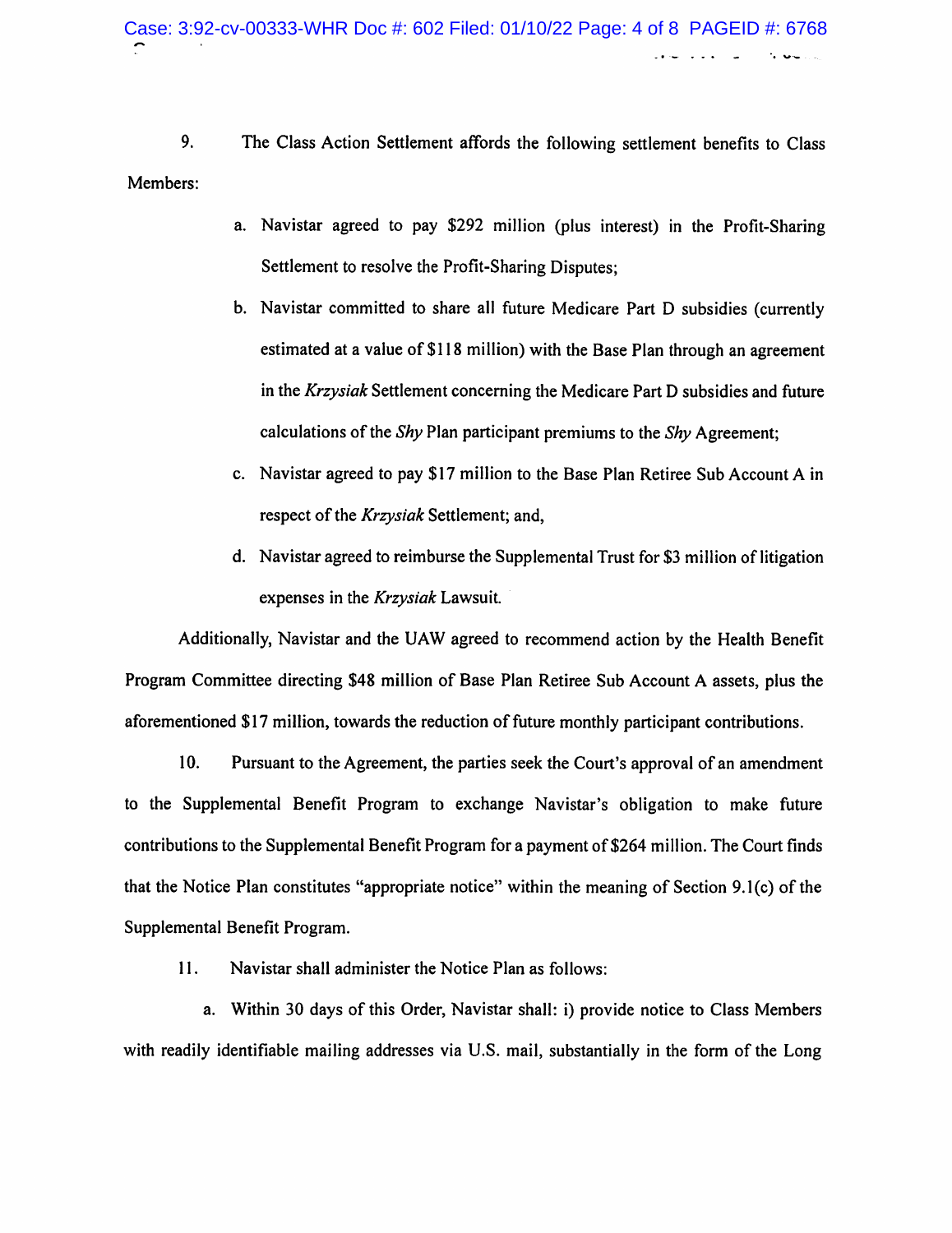9. The Class Action Settlement affords the following settlement benefits to Class Members;

- a. Navistar agreed to pay \$292 million (plus interest) in the Profit-Sharing Settlement to resolve the Profit-Sharing Disputes;
- b. Navistar committed to share all future Medicare Part D subsidies (currently estimated at a value of \$118 million) with the Base Plan through an agreement in the Krzysiak Settlement concerning the Medicare Part D subsidies and future calculations of the Shy Plan participant premiums to the Shy Agreement;
- c. Navistar agreed to pay \$17 million to the Base Plan Retiree Sub Account A in respect of the *Krzysiak* Settlement; and,
- d. Navistar agreed to reimburse the Supplemental Trust for \$3 million of litigation expenses in the Krzysiak Lawsuit.

Additionally, Navistar and the UAW agreed to recommend action by the Health Benefit Program Committee directing \$48 million of Base Plan Retiree Sub Account A assets, plus the aforementioned \$17 million, towards the reduction of future monthly participant contributions.

10. Pursuant to the Agreement, the parties seek the Court's approval of an amendment to the Supplemental Benefit Program to exchange Navistar's obligation to make future contributions to the Supplemental Benefit Program for a payment of \$264 million. The Court finds that the Notice Plan constitutes "appropriate notice" within the meaning of Section 9.1(c) of the Supplemental Benefit Program.

11. Navistar shall administer the Notice Plan as follows:

a. Within 30 days of this Order, Navistar shall: i) provide notice to Class Members with readily identifiable mailing addresses via U.S. mail, substantially in the form of the Long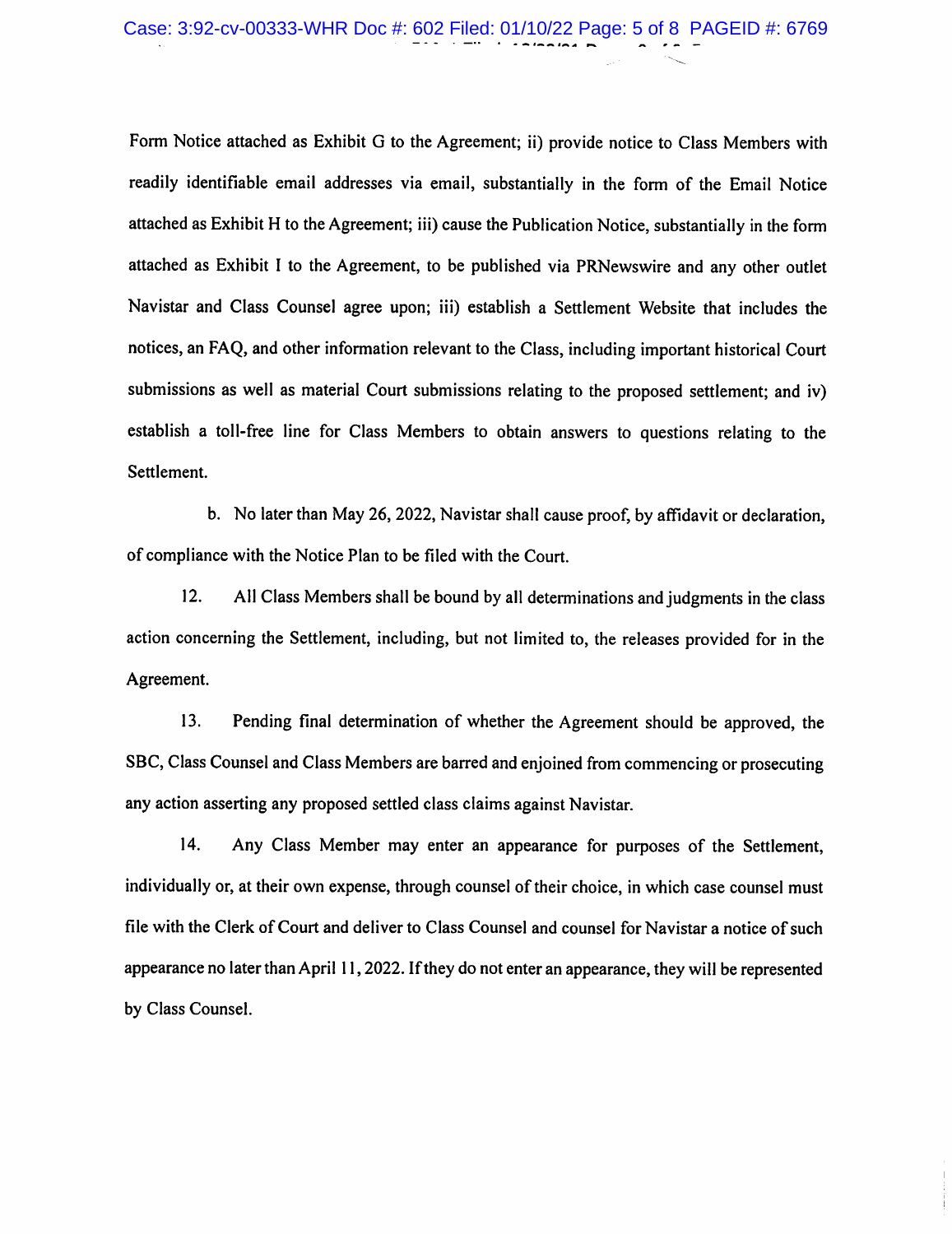# Case: 3:92-cv-00333-WHR Doc #: 602 Filed: 01/10/22 Page: 5 of 8 PAGEID #: 6769

Form Notice attached as Exhibit G to the Agreement; ii) provide notice to Class Members with readily identifiable email addresses via email, substantially in the form of the Email Notice attached as Exhibit H to the Agreement; iii) cause the Publication Notice, substantially in the form attached as Exhibit I to the Agreement, to be published via PRNewswire and any other outlet Navistar and Class Counsel agree upon; iii) establish a Settlement Website that includes the notices, an FAQ, and other information relevant to the Class, including important historical Court submissions as well as material Court submissions relating to the proposed settlement; and iv) establish a toll-free line for Class Members to obtain answers to questions relating to the Settlement.

b. No later than May 26, 2022, Navistar shall cause proof, by affidavit or declaration, of compliance with the Notice Plan to be filed with the Court.

12. All Class Members shall be bound by all determinations and judgments in the class action concerning the Settlement, including, but not limited to, the releases provided for in the Agreement.

13. Pending final determination of whether the Agreement should be approved, the SBC, Class Counsel and Class Members are barred and enjoined from commencing or prosecuting any action asserting any proposed settled class claims against Navistar.

14. Any Class Member may enter an appearance for purposes of the Settlement, individually or, at their own expense, through counsel of their choice, in which case counsel must file with the Clerk of Court and deliver to Class Counsel and counsel for Navistar a notice of such appearance no later than April 11,2022. If they do not enter an appearance, they will be represented by Class Counsel.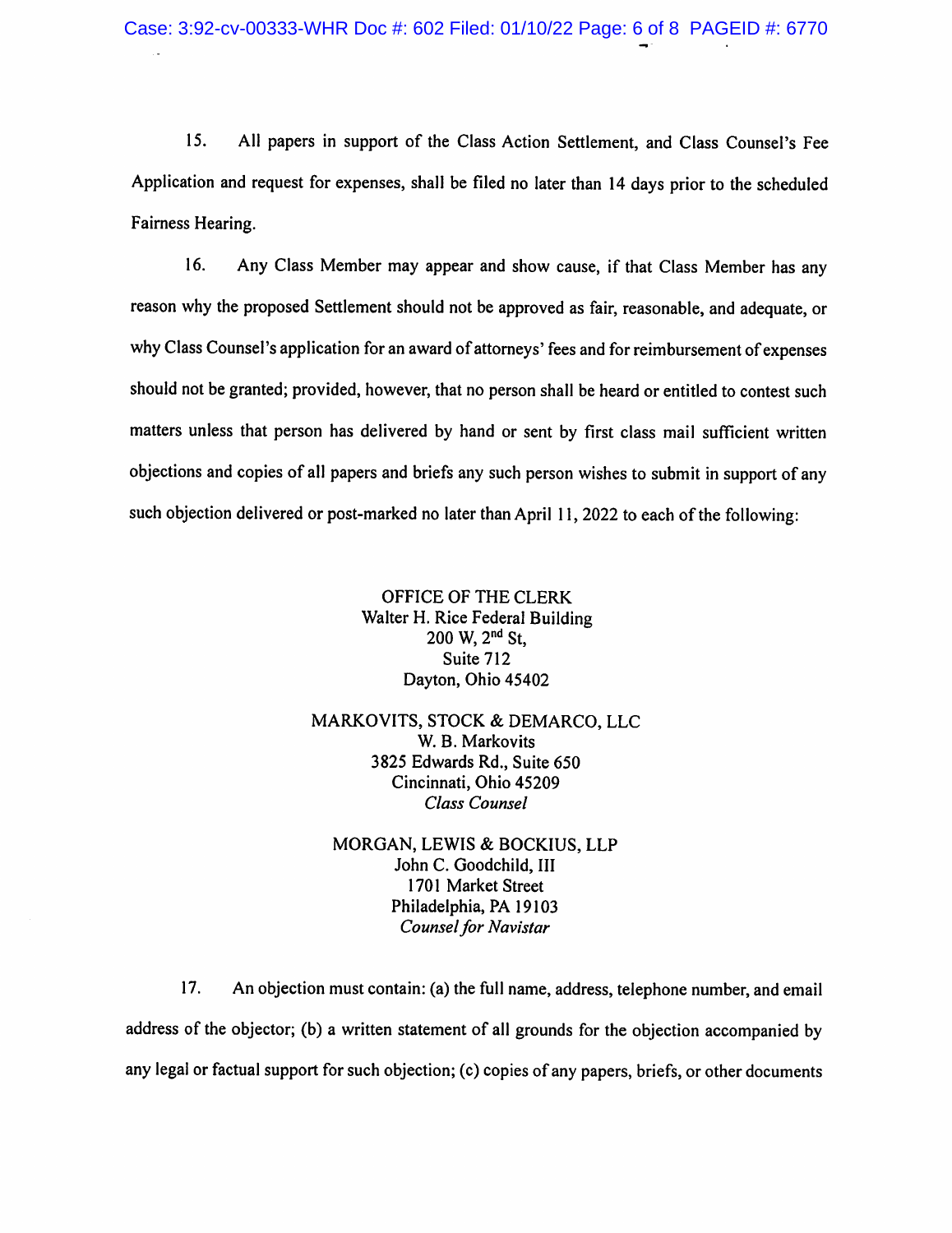15. All papers in support of the Class Action Settlement, and Class Counsel's Fee Application and request for expenses, shall be filed no later than 14 days prior to the scheduled Fairness Hearing.

16. Any Class Member may appear and show cause, if that Class Member has any reason why the proposed Settlement should not be approved as fair, reasonable, and adequate, or why Class Counsel's application for an award of attorneys' fees and for reimbursement of expenses should not be granted; provided, however, that no person shall be heard or entitled to contest such matters unless that person has delivered by hand or sent by first class mail sufficient written objections and copies of all papers and briefs any such person wishes to submit in support of any such objection delivered or post-marked no later than April 11, 2022 to each of the following:

> OFFICE OF THE CLERK Walter H. Rice Federal Building  $200 \text{ W}$ ,  $2^{\text{nd}}$  St, Suite 712 Dayton, Ohio 45402

MARKOVITS, STOCK & DEMARCO, LLC W. B. Markovits 3825 Edwards Rd., Suite 650 Cincinnati, Ohio 45209 Class Counsel

MORGAN, LEWIS & BOCKIUS, LLP John C. Goodchild, III 1701 Market Street Philadelphia, PA 19103 Counsel for Navistar

17. An objection must contain: (a) the full name, address, telephone number, and email address of the objector; (b) a written statement of all grounds for the objection accompanied by any legal or factual support for such objection; (c) copies of any papers, briefs, or other documents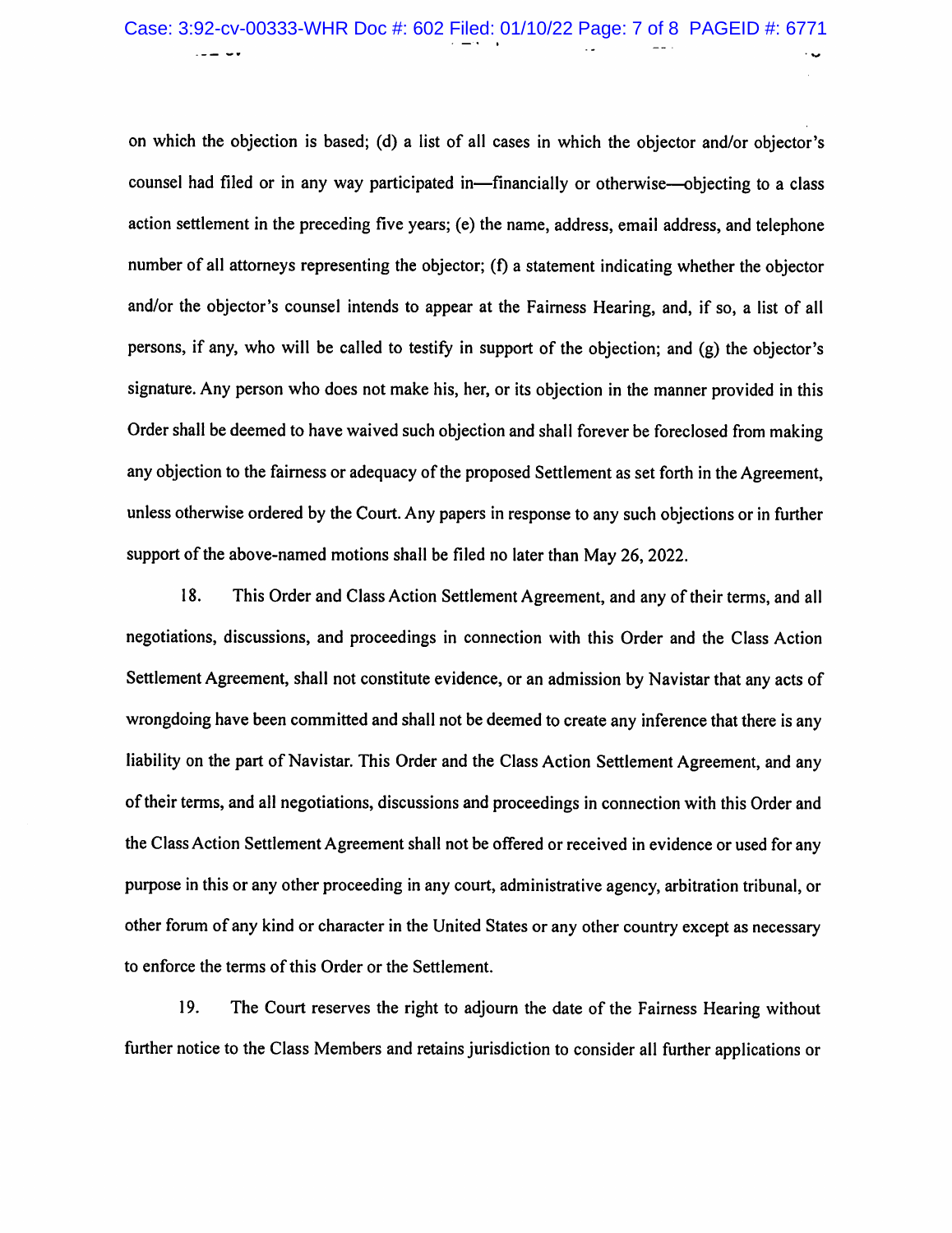## Case: 3:92-cv-00333-WHR Doc #: 602 Filed: 01/10/22 Page: 7 of 8 PAGEID #: 6771

on which the objection is based; (d) a list of all cases in which the objector and/or objector's counsel had filed or in any way participated in—financially or otherwise—objecting to a class action settlement in the preceding five years; (e) the name, address, email address, and telephone number of all attorneys representing the objector; (f) a statement indicating whether the objector and/or the objector's counsel intends to appear at the Fairness Hearing, and, if so, a list of all persons, if any, who will be called to testify in support of the objection; and (g) the objector's signature. Any person who does not make his, her, or its objection in the manner provided in this Order shall be deemed to have waived such objection and shall forever be foreclosed from making any objection to the fairness or adequacy of the proposed Settlement as set forth in the Agreement, unless otherwise ordered by the Court. Any papers in response to any such objections or in further support of the above-named motions shall be filed no later than May 26, 2022.

18. This Order and Class Action Settlement Agreement, and any of their terms, and all negotiations, discussions, and proceedings in connection with this Order and the Class Action Settlement Agreement, shall not constitute evidence, or an admission by Navistar that any acts of wrongdoing have been committed and shall not be deemed to create any inference that there is any liability on the part of Navistar. This Order and the Class Action Settlement Agreement, and any of their terms, and all negotiations, discussions and proceedings in connection with this Order and the Class Action Settlement Agreement shall not be offered or received in evidence or used for any purpose in this or any other proceeding in any court, administrative agency, arbitration tribunal, or other forum of any kind or character in the United States or any other country except as necessary to enforce the terms of this Order or the Settlement.

19. The Court reserves the right to adjourn the date of the Fairness Hearing without further notice to the Class Members and retains jurisdiction to consider all further applications or